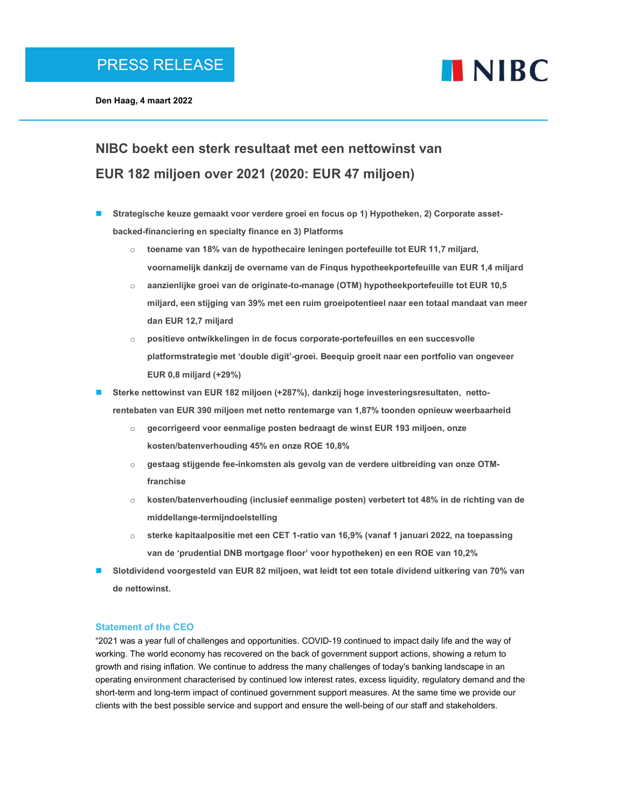

Den Haag, 4 maart 2022

# NIBC boekt een sterk resultaat met een nettowinst van EUR 182 miljoen over 2021 (2020: EUR 47 miljoen)

- Strategische keuze gemaakt voor verdere groei en focus op 1) Hypotheken, 2) Corporate assetbacked-financiering en specialty finance en 3) Platforms
	- $\circ$  toename van 18% van de hypothecaire leningen portefeuille tot EUR 11,7 miljard, voornamelijk dankzij de overname van de Finqus hypotheekportefeuille van EUR 1,4 miljard
	- $\circ$  aanzienlijke groei van de originate-to-manage (OTM) hypotheekportefeuille tot EUR 10,5 miljard, een stijging van 39% met een ruim groeipotentieel naar een totaal mandaat van meer dan EUR 12,7 miljard
	- o positieve ontwikkelingen in de focus corporate-portefeuilles en een succesvolle platformstrategie met 'double digit'-groei. Beequip groeit naar een portfolio van ongeveer EUR 0,8 miljard (+29%)
- Sterke nettowinst van EUR 182 miljoen (+287%), dankzij hoge investeringsresultaten, nettorentebaten van EUR 390 miljoen met netto rentemarge van 1,87% toonden opnieuw weerbaarheid
	- $\circ$  gecorrigeerd voor eenmalige posten bedraagt de winst EUR 193 miljoen, onze kosten/batenverhouding 45% en onze ROE 10,8%
	- $\circ$  gestaag stijgende fee-inkomsten als gevolg van de verdere uitbreiding van onze OTMfranchise
	- o kosten/batenverhouding (inclusief eenmalige posten) verbetert tot 48% in de richting van de middellange-termijndoelstelling
	- $\circ$  sterke kapitaalpositie met een CET 1-ratio van 16,9% (vanaf 1 januari 2022, na toepassing van de 'prudential DNB mortgage floor' voor hypotheken) en een ROE van 10,2%
- Slotdividend voorgesteld van EUR 82 miljoen, wat leidt tot een totale dividend uitkering van 70% van de nettowinst.

### Statement of the CEO

"2021 was a year full of challenges and opportunities. COVID-19 continued to impact daily life and the way of working. The world economy has recovered on the back of government support actions, showing a return to growth and rising inflation. We continue to address the many challenges of today's banking landscape in an operating environment characterised by continued low interest rates, excess liquidity, regulatory demand and the short-term and long-term impact of continued government support measures. At the same time we provide our clients with the best possible service and support and ensure the well-being of our staff and stakeholders.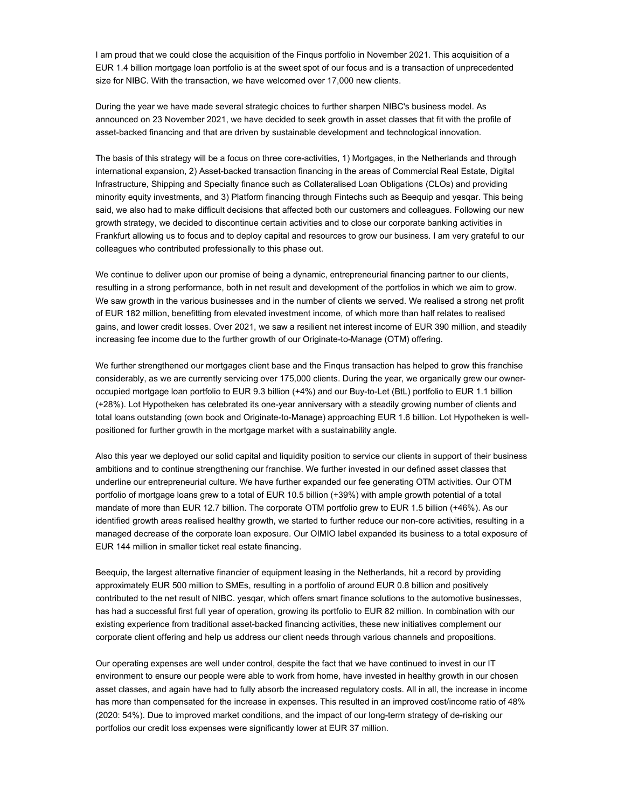I am proud that we could close the acquisition of the Finqus portfolio in November 2021. This acquisition of a EUR 1.4 billion mortgage loan portfolio is at the sweet spot of our focus and is a transaction of unprecedented size for NIBC. With the transaction, we have welcomed over 17,000 new clients.

During the year we have made several strategic choices to further sharpen NIBC's business model. As announced on 23 November 2021, we have decided to seek growth in asset classes that fit with the profile of asset-backed financing and that are driven by sustainable development and technological innovation.

The basis of this strategy will be a focus on three core-activities, 1) Mortgages, in the Netherlands and through international expansion, 2) Asset-backed transaction financing in the areas of Commercial Real Estate, Digital Infrastructure, Shipping and Specialty finance such as Collateralised Loan Obligations (CLOs) and providing minority equity investments, and 3) Platform financing through Fintechs such as Beequip and yesqar. This being said, we also had to make difficult decisions that affected both our customers and colleagues. Following our new growth strategy, we decided to discontinue certain activities and to close our corporate banking activities in Frankfurt allowing us to focus and to deploy capital and resources to grow our business. I am very grateful to our colleagues who contributed professionally to this phase out.

We continue to deliver upon our promise of being a dynamic, entrepreneurial financing partner to our clients, resulting in a strong performance, both in net result and development of the portfolios in which we aim to grow. We saw growth in the various businesses and in the number of clients we served. We realised a strong net profit of EUR 182 million, benefitting from elevated investment income, of which more than half relates to realised gains, and lower credit losses. Over 2021, we saw a resilient net interest income of EUR 390 million, and steadily increasing fee income due to the further growth of our Originate-to-Manage (OTM) offering.

We further strengthened our mortgages client base and the Finqus transaction has helped to grow this franchise considerably, as we are currently servicing over 175,000 clients. During the year, we organically grew our owneroccupied mortgage loan portfolio to EUR 9.3 billion (+4%) and our Buy-to-Let (BtL) portfolio to EUR 1.1 billion (+28%). Lot Hypotheken has celebrated its one-year anniversary with a steadily growing number of clients and total loans outstanding (own book and Originate-to-Manage) approaching EUR 1.6 billion. Lot Hypotheken is wellpositioned for further growth in the mortgage market with a sustainability angle.

Also this year we deployed our solid capital and liquidity position to service our clients in support of their business ambitions and to continue strengthening our franchise. We further invested in our defined asset classes that underline our entrepreneurial culture. We have further expanded our fee generating OTM activities. Our OTM portfolio of mortgage loans grew to a total of EUR 10.5 billion (+39%) with ample growth potential of a total mandate of more than EUR 12.7 billion. The corporate OTM portfolio grew to EUR 1.5 billion (+46%). As our identified growth areas realised healthy growth, we started to further reduce our non-core activities, resulting in a managed decrease of the corporate loan exposure. Our OIMIO label expanded its business to a total exposure of EUR 144 million in smaller ticket real estate financing.

Beequip, the largest alternative financier of equipment leasing in the Netherlands, hit a record by providing approximately EUR 500 million to SMEs, resulting in a portfolio of around EUR 0.8 billion and positively contributed to the net result of NIBC. yesqar, which offers smart finance solutions to the automotive businesses, has had a successful first full year of operation, growing its portfolio to EUR 82 million. In combination with our existing experience from traditional asset-backed financing activities, these new initiatives complement our corporate client offering and help us address our client needs through various channels and propositions.

Our operating expenses are well under control, despite the fact that we have continued to invest in our IT environment to ensure our people were able to work from home, have invested in healthy growth in our chosen asset classes, and again have had to fully absorb the increased regulatory costs. All in all, the increase in income has more than compensated for the increase in expenses. This resulted in an improved cost/income ratio of 48% (2020: 54%). Due to improved market conditions, and the impact of our long-term strategy of de-risking our portfolios our credit loss expenses were significantly lower at EUR 37 million.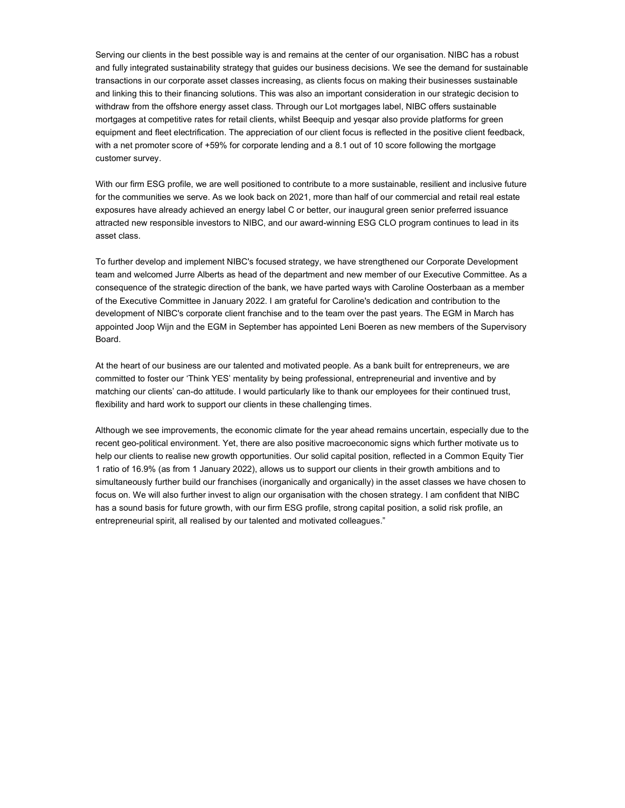Serving our clients in the best possible way is and remains at the center of our organisation. NIBC has a robust and fully integrated sustainability strategy that guides our business decisions. We see the demand for sustainable transactions in our corporate asset classes increasing, as clients focus on making their businesses sustainable and linking this to their financing solutions. This was also an important consideration in our strategic decision to withdraw from the offshore energy asset class. Through our Lot mortgages label, NIBC offers sustainable mortgages at competitive rates for retail clients, whilst Beequip and yesqar also provide platforms for green equipment and fleet electrification. The appreciation of our client focus is reflected in the positive client feedback, with a net promoter score of +59% for corporate lending and a 8.1 out of 10 score following the mortgage customer survey.

With our firm ESG profile, we are well positioned to contribute to a more sustainable, resilient and inclusive future for the communities we serve. As we look back on 2021, more than half of our commercial and retail real estate exposures have already achieved an energy label C or better, our inaugural green senior preferred issuance attracted new responsible investors to NIBC, and our award-winning ESG CLO program continues to lead in its asset class.

To further develop and implement NIBC's focused strategy, we have strengthened our Corporate Development team and welcomed Jurre Alberts as head of the department and new member of our Executive Committee. As a consequence of the strategic direction of the bank, we have parted ways with Caroline Oosterbaan as a member of the Executive Committee in January 2022. I am grateful for Caroline's dedication and contribution to the development of NIBC's corporate client franchise and to the team over the past years. The EGM in March has appointed Joop Wijn and the EGM in September has appointed Leni Boeren as new members of the Supervisory Board.

At the heart of our business are our talented and motivated people. As a bank built for entrepreneurs, we are committed to foster our 'Think YES' mentality by being professional, entrepreneurial and inventive and by matching our clients' can-do attitude. I would particularly like to thank our employees for their continued trust, flexibility and hard work to support our clients in these challenging times.

Although we see improvements, the economic climate for the year ahead remains uncertain, especially due to the recent geo-political environment. Yet, there are also positive macroeconomic signs which further motivate us to help our clients to realise new growth opportunities. Our solid capital position, reflected in a Common Equity Tier 1 ratio of 16.9% (as from 1 January 2022), allows us to support our clients in their growth ambitions and to simultaneously further build our franchises (inorganically and organically) in the asset classes we have chosen to focus on. We will also further invest to align our organisation with the chosen strategy. I am confident that NIBC has a sound basis for future growth, with our firm ESG profile, strong capital position, a solid risk profile, an entrepreneurial spirit, all realised by our talented and motivated colleagues."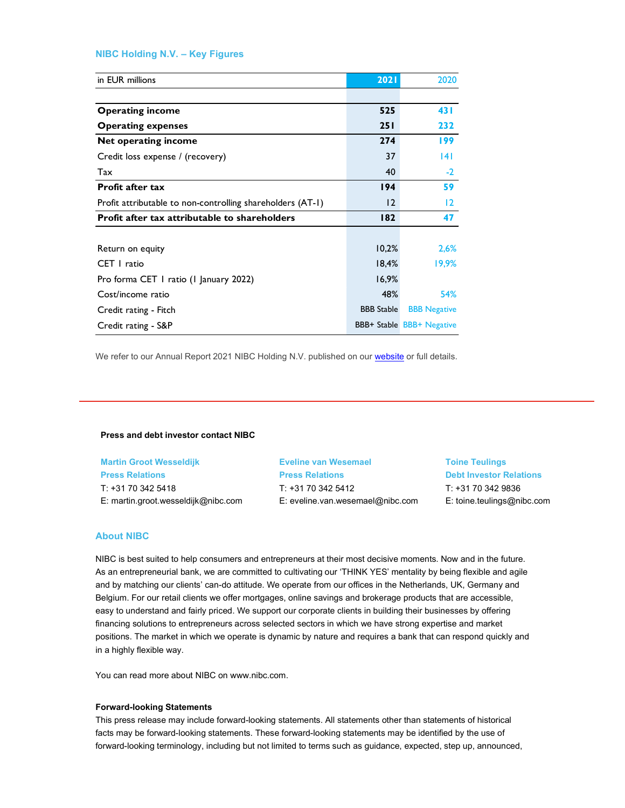## NIBC Holding N.V. – Key Figures

| NIBC Holding N.V. - Key Figures                            |                   |                     |
|------------------------------------------------------------|-------------------|---------------------|
|                                                            |                   |                     |
| in EUR millions                                            | 2021              | 2020                |
|                                                            |                   |                     |
| <b>Operating income</b>                                    | 525               | 431                 |
| <b>Operating expenses</b>                                  | 251               | 232                 |
| Net operating income                                       | 274               | 199                 |
| Credit loss expense / (recovery)                           | 37                | 4                   |
|                                                            |                   |                     |
| Tax                                                        | 40                | $-2$                |
| Profit after tax                                           | 194               | 59                  |
| Profit attributable to non-controlling shareholders (AT-1) | 12                | $\overline{12}$     |
| Profit after tax attributable to shareholders              | 182               | 47                  |
|                                                            |                   |                     |
| Return on equity                                           | 10,2%             | 2,6%                |
| CET   ratio                                                | 18,4%             | 19,9%               |
| Pro forma CET I ratio (I January 2022)                     | 16,9%             |                     |
| Cost/income ratio                                          | 48%               | 54%                 |
| Credit rating - Fitch                                      | <b>BBB</b> Stable | <b>BBB Negative</b> |

#### Press and debt investor contact NIBC

Martin Groot Wesseldijk Press Relations T: +31 70 342 5418 E: martin.groot.wesseldijk@nibc.com Eveline van Wesemael Press Relations T: +31 70 342 5412 E: eveline.van.wesemael@nibc.com Toine Teulings Debt Investor Relations T: +31 70 342 9836 E: toine.teulings@nibc.com

#### About NIBC

NIBC is best suited to help consumers and entrepreneurs at their most decisive moments. Now and in the future. As an entrepreneurial bank, we are committed to cultivating our 'THINK YES' mentality by being flexible and agile and by matching our clients' can-do attitude. We operate from our offices in the Netherlands, UK, Germany and Belgium. For our retail clients we offer mortgages, online savings and brokerage products that are accessible, easy to understand and fairly priced. We support our corporate clients in building their businesses by offering financing solutions to entrepreneurs across selected sectors in which we have strong expertise and market positions. The market in which we operate is dynamic by nature and requires a bank that can respond quickly and in a highly flexible way.

You can read more about NIBC on www.nibc.com.

#### Forward-looking Statements

This press release may include forward-looking statements. All statements other than statements of historical facts may be forward-looking statements. These forward-looking statements may be identified by the use of forward-looking terminology, including but not limited to terms such as guidance, expected, step up, announced,